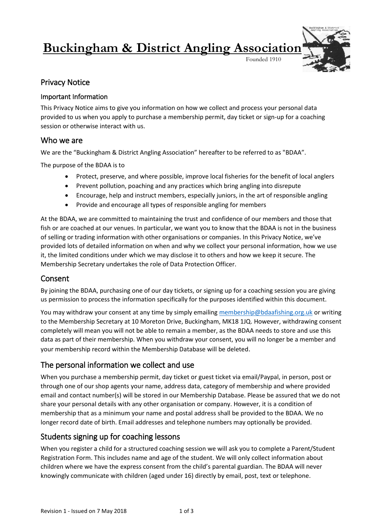# **Buckingham & District Angling Association**

Founded 1910



# Privacy Notice

### Important Information

This Privacy Notice aims to give you information on how we collect and process your personal data provided to us when you apply to purchase a membership permit, day ticket or sign-up for a coaching session or otherwise interact with us.

## Who we are

We are the "Buckingham & District Angling Association" hereafter to be referred to as "BDAA".

The purpose of the BDAA is to

- Protect, preserve, and where possible, improve local fisheries for the benefit of local anglers
- Prevent pollution, poaching and any practices which bring angling into disrepute
- Encourage, help and instruct members, especially juniors, in the art of responsible angling
- Provide and encourage all types of responsible angling for members

At the BDAA, we are committed to maintaining the trust and confidence of our members and those that fish or are coached at our venues. In particular, we want you to know that the BDAA is not in the business of selling or trading information with other organisations or companies. In this Privacy Notice, we've provided lots of detailed information on when and why we collect your personal information, how we use it, the limited conditions under which we may disclose it to others and how we keep it secure. The Membership Secretary undertakes the role of Data Protection Officer.

# Consent

By joining the BDAA, purchasing one of our day tickets, or signing up for a coaching session you are giving us permission to process the information specifically for the purposes identified within this document.

You may withdraw your consent at any time by simply emailing [membership@bdaafishing.org.uk](mailto:membership@bdaafishing.org.uk) or writing to the Membership Secretary at 10 Moreton Drive, Buckingham, MK18 1JQ. However, withdrawing consent completely will mean you will not be able to remain a member, as the BDAA needs to store and use this data as part of their membership. When you withdraw your consent, you will no longer be a member and your membership record within the Membership Database will be deleted.

# The personal information we collect and use

When you purchase a membership permit, day ticket or guest ticket via email/Paypal, in person, post or through one of our shop agents your name, address data, category of membership and where provided email and contact number(s) will be stored in our Membership Database. Please be assured that we do not share your personal details with any other organisation or company. However, it is a condition of membership that as a minimum your name and postal address shall be provided to the BDAA. We no longer record date of birth. Email addresses and telephone numbers may optionally be provided.

# Students signing up for coaching lessons

When you register a child for a structured coaching session we will ask you to complete a Parent/Student Registration Form. This includes name and age of the student. We will only collect information about children where we have the express consent from the child's parental guardian. The BDAA will never knowingly communicate with children (aged under 16) directly by email, post, text or telephone.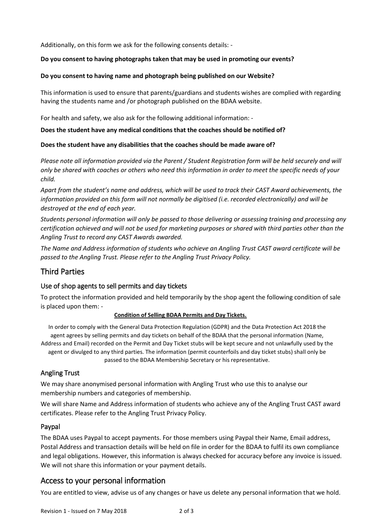Additionally, on this form we ask for the following consents details: -

#### **Do you consent to having photographs taken that may be used in promoting our events?**

#### **Do you consent to having name and photograph being published on our Website?**

This information is used to ensure that parents/guardians and students wishes are complied with regarding having the students name and /or photograph published on the BDAA website.

For health and safety, we also ask for the following additional information: -

#### **Does the student have any medical conditions that the coaches should be notified of?**

#### **Does the student have any disabilities that the coaches should be made aware of?**

*Please note all information provided via the Parent / Student Registration form will be held securely and will only be shared with coaches or others who need this information in order to meet the specific needs of your child.* 

*Apart from the student's name and address, which will be used to track their CAST Award achievements, the information provided on this form will not normally be digitised (i.e. recorded electronically) and will be destroyed at the end of each year.*

*Students personal information will only be passed to those delivering or assessing training and processing any certification achieved and will not be used for marketing purposes or shared with third parties other than the Angling Trust to record any CAST Awards awarded.* 

*The Name and Address information of students who achieve an Angling Trust CAST award certificate will be passed to the Angling Trust. Please refer to the Angling Trust Privacy Policy.* 

# Third Parties

#### Use of shop agents to sell permits and day tickets

To protect the information provided and held temporarily by the shop agent the following condition of sale is placed upon them: -

#### **Condition of Selling BDAA Permits and Day Tickets.**

In order to comply with the General Data Protection Regulation (GDPR) and the Data Protection Act 2018 the agent agrees by selling permits and day tickets on behalf of the BDAA that the personal information (Name, Address and Email) recorded on the Permit and Day Ticket stubs will be kept secure and not unlawfully used by the agent or divulged to any third parties. The information (permit counterfoils and day ticket stubs) shall only be passed to the BDAA Membership Secretary or his representative.

#### Angling Trust

We may share anonymised personal information with Angling Trust who use this to analyse our membership numbers and categories of membership.

We will share Name and Address information of students who achieve any of the Angling Trust CAST award certificates. Please refer to the Angling Trust Privacy Policy.

#### Paypal

The BDAA uses Paypal to accept payments. For those members using Paypal their Name, Email address, Postal Address and transaction details will be held on file in order for the BDAA to fulfil its own compliance and legal obligations. However, this information is always checked for accuracy before any invoice is issued. We will not share this information or your payment details.

# Access to your personal information

You are entitled to view, advise us of any changes or have us delete any personal information that we hold.